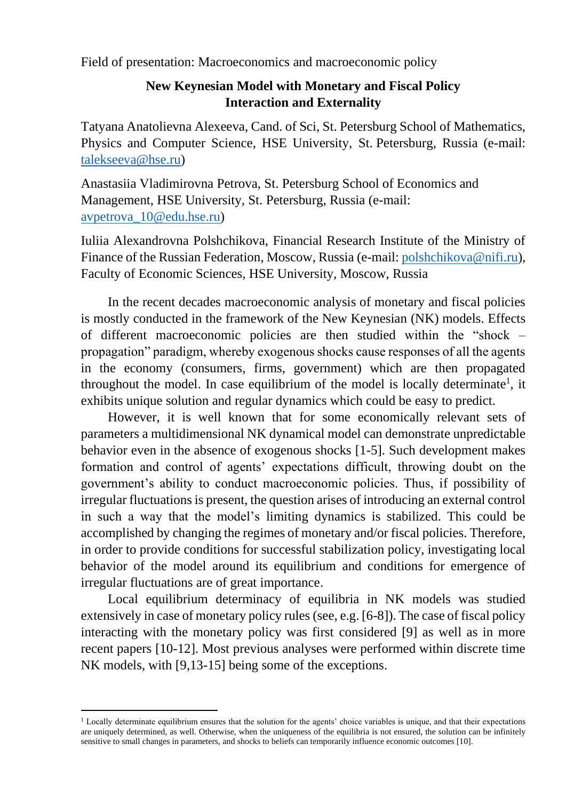Field of presentation: Macroeconomics and macroeconomic policy

## **New Keynesian Model with Monetary and Fiscal Policy Interaction and Externality**

Tatyana Anatolievna Alexeeva, Cand. of Sci, St. Petersburg School of Mathematics, Physics and Computer Science, HSE University, St. Petersburg, Russia (e-mail: [talekseeva@hse.r](mailto:talekseeva@hse.)u)

Anastasiia Vladimirovna Petrova, St. Petersburg School of Economics and Management, HSE University, St. Petersburg, Russia (e-mail: [avpetrova\\_10@edu.hse.ru\)](mailto:avpetrova_10@edu.hse.ru)

Iuliia Alexandrovna Polshchikova, Financial Research Institute of the Ministry of Finance of the Russian Federation, Moscow, Russia (e-mail: [polshchikova@nifi.ru\)](mailto:polshchikova@nifi.ru), Faculty of Economic Sciences, HSE University, Moscow, Russia

In the recent decades macroeconomic analysis of monetary and fiscal policies is mostly conducted in the framework of the New Keynesian (NK) models. Effects of different macroeconomic policies are then studied within the "shock – propagation" paradigm, whereby exogenous shocks cause responses of all the agents in the economy (consumers, firms, government) which are then propagated throughout the model. In case equilibrium of the model is locally determinate<sup>1</sup>, it exhibits unique solution and regular dynamics which could be easy to predict.

However, it is well known that for some economically relevant sets of parameters a multidimensional NK dynamical model can demonstrate unpredictable behavior even in the absence of exogenous shocks [1-5]. Such development makes formation and control of agents' expectations difficult, throwing doubt on the government's ability to conduct macroeconomic policies. Thus, if possibility of irregular fluctuations is present, the question arises of introducing an external control in such a way that the model's limiting dynamics is stabilized. This could be accomplished by changing the regimes of monetary and/or fiscal policies. Therefore, in order to provide conditions for successful stabilization policy, investigating local behavior of the model around its equilibrium and conditions for emergence of irregular fluctuations are of great importance.

Local equilibrium determinacy of equilibria in NK models was studied extensively in case of monetary policy rules (see, e.g. [6-8]). The case of fiscal policy interacting with the monetary policy was first considered [9] as well as in more recent papers [10-12]. Most previous analyses were performed within discrete time NK models, with [9,13-15] being some of the exceptions.

<sup>&</sup>lt;sup>1</sup> Locally determinate equilibrium ensures that the solution for the agents' choice variables is unique, and that their expectations are uniquely determined, as well. Otherwise, when the uniqueness of the equilibria is not ensured, the solution can be infinitely sensitive to small changes in parameters, and shocks to beliefs can temporarily influence economic outcomes [10].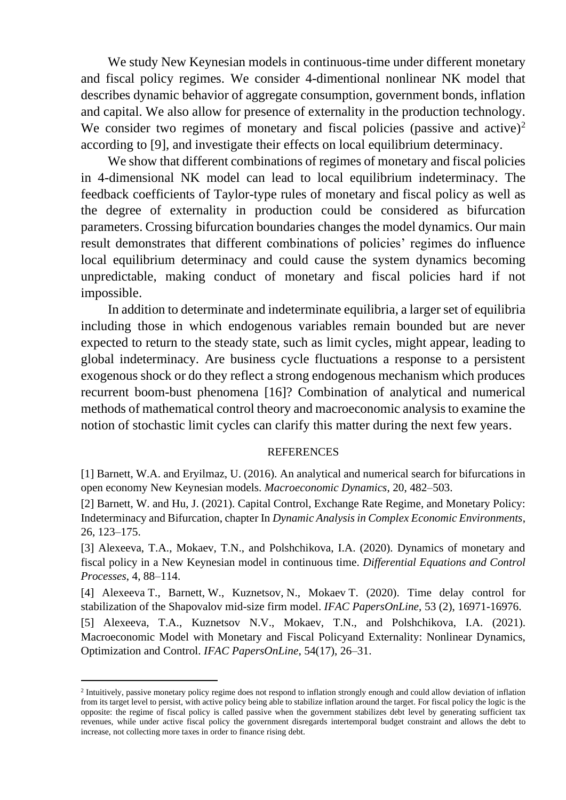We study New Keynesian models in continuous-time under different monetary and fiscal policy regimes. We consider 4-dimentional nonlinear NK model that describes dynamic behavior of aggregate consumption, government bonds, inflation and capital. We also allow for presence of externality in the production technology. We consider two regimes of monetary and fiscal policies (passive and active)<sup>2</sup> according to [9], and investigate their effects on local equilibrium determinacy.

We show that different combinations of regimes of monetary and fiscal policies in 4-dimensional NK model can lead to local equilibrium indeterminacy. The feedback coefficients of Taylor-type rules of monetary and fiscal policy as well as the degree of externality in production could be considered as bifurcation parameters. Crossing bifurcation boundaries changes the model dynamics. Our main result demonstrates that different combinations of policies' regimes do influence local equilibrium determinacy and could cause the system dynamics becoming unpredictable, making conduct of monetary and fiscal policies hard if not impossible.

In addition to determinate and indeterminate equilibria, a larger set of equilibria including those in which endogenous variables remain bounded but are never expected to return to the steady state, such as limit cycles, might appear, leading to global indeterminacy. Are business cycle fluctuations a response to a persistent exogenous shock or do they reflect a strong endogenous mechanism which produces recurrent boom-bust phenomena [16]? Combination of analytical and numerical methods of mathematical control theory and macroeconomic analysis to examine the notion of stochastic limit cycles can clarify this matter during the next few years.

## **REFERENCES**

[1] Barnett, W.A. and Eryilmaz, U. (2016). An analytical and numerical search for bifurcations in open economy New Keynesian models. *Macroeconomic Dynamics*, 20, 482–503.

[2] Barnett, W. and Hu, J. (2021). Capital Control, Exchange Rate Regime, and Monetary Policy: Indeterminacy and Bifurcation, chapter In *Dynamic Analysis in Complex Economic Environments*, 26, 123–175.

[3] Alexeeva, T.A., Mokaev, T.N., and Polshchikova, I.A. (2020). Dynamics of monetary and fiscal policy in a New Keynesian model in continuous time. *Differential Equations and Control Processes*, 4, 88–114.

[4] Alexeeva T., Barnett, W., Kuznetsov, N., Mokaev T. (2020). Time delay control for stabilization of the Shapovalov mid-size firm model. *IFAC PapersOnLine*, 53 (2), 16971-16976.

[5] Alexeeva, T.A., Kuznetsov N.V., Mokaev, T.N., and Polshchikova, I.A. (2021). Macroeconomic Model with Monetary and Fiscal Policyand Externality: Nonlinear Dynamics, Optimization and Control. *IFAC PapersOnLine*, 54(17), 26–31.

<sup>&</sup>lt;sup>2</sup> Intuitively, passive monetary policy regime does not respond to inflation strongly enough and could allow deviation of inflation from its target level to persist, with active policy being able to stabilize inflation around the target. For fiscal policy the logic is the opposite: the regime of fiscal policy is called passive when the government stabilizes debt level by generating sufficient tax revenues, while under active fiscal policy the government disregards intertemporal budget constraint and allows the debt to increase, not collecting more taxes in order to finance rising debt.